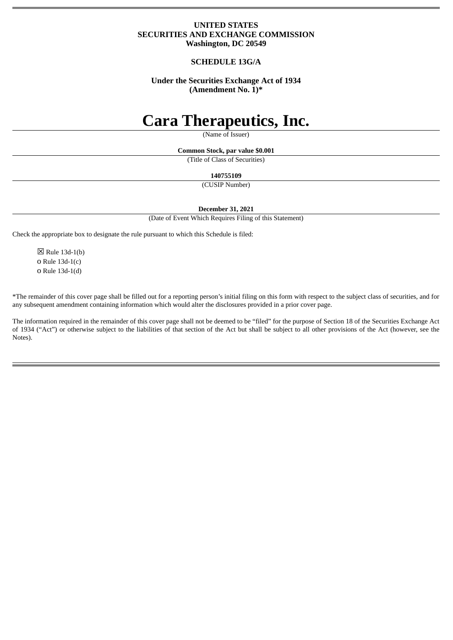### **UNITED STATES SECURITIES AND EXCHANGE COMMISSION Washington, DC 20549**

### **SCHEDULE 13G/A**

## **Under the Securities Exchange Act of 1934 (Amendment No. 1)\***

## **Cara Therapeutics, Inc.**

(Name of Issuer)

**Common Stock, par value \$0.001**

(Title of Class of Securities)

**140755109**

(CUSIP Number)

**December 31, 2021**

(Date of Event Which Requires Filing of this Statement)

Check the appropriate box to designate the rule pursuant to which this Schedule is filed:

 $\boxtimes$  Rule 13d-1(b) o Rule 13d-1(c) o Rule 13d-1(d)

\*The remainder of this cover page shall be filled out for a reporting person's initial filing on this form with respect to the subject class of securities, and for any subsequent amendment containing information which would alter the disclosures provided in a prior cover page.

The information required in the remainder of this cover page shall not be deemed to be "filed" for the purpose of Section 18 of the Securities Exchange Act of 1934 ("Act") or otherwise subject to the liabilities of that section of the Act but shall be subject to all other provisions of the Act (however, see the Notes).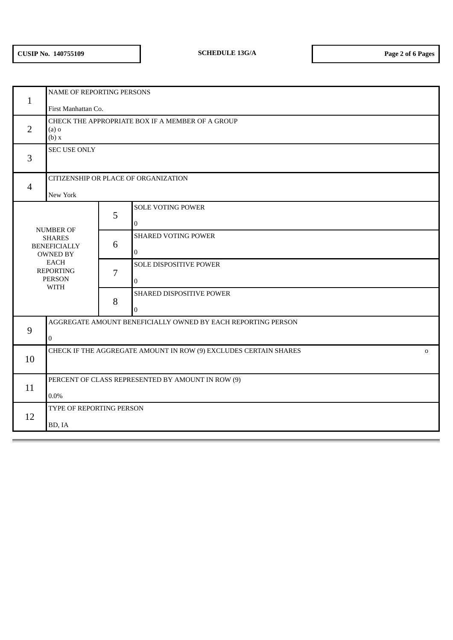| $\mathbf{1}$                                                                                                                            | NAME OF REPORTING PERSONS                                             |   |                                            |
|-----------------------------------------------------------------------------------------------------------------------------------------|-----------------------------------------------------------------------|---|--------------------------------------------|
|                                                                                                                                         | First Manhattan Co.                                                   |   |                                            |
| $\overline{2}$                                                                                                                          | CHECK THE APPROPRIATE BOX IF A MEMBER OF A GROUP<br>$(a)$ o<br>(b) x  |   |                                            |
| 3                                                                                                                                       | <b>SEC USE ONLY</b>                                                   |   |                                            |
| $\overline{4}$                                                                                                                          | CITIZENSHIP OR PLACE OF ORGANIZATION<br>New York                      |   |                                            |
| NUMBER OF<br><b>SHARES</b><br><b>BENEFICIALLY</b><br><b>OWNED BY</b><br><b>EACH</b><br><b>REPORTING</b><br><b>PERSON</b><br><b>WITH</b> |                                                                       | 5 | <b>SOLE VOTING POWER</b><br>$\overline{0}$ |
|                                                                                                                                         |                                                                       | 6 | SHARED VOTING POWER<br>$\overline{0}$      |
|                                                                                                                                         |                                                                       | 7 | SOLE DISPOSITIVE POWER<br>$\boldsymbol{0}$ |
|                                                                                                                                         |                                                                       | 8 | SHARED DISPOSITIVE POWER<br>$\overline{0}$ |
| 9                                                                                                                                       | AGGREGATE AMOUNT BENEFICIALLY OWNED BY EACH REPORTING PERSON          |   |                                            |
|                                                                                                                                         | $\boldsymbol{0}$                                                      |   |                                            |
| 10                                                                                                                                      | CHECK IF THE AGGREGATE AMOUNT IN ROW (9) EXCLUDES CERTAIN SHARES<br>0 |   |                                            |
| 11                                                                                                                                      | PERCENT OF CLASS REPRESENTED BY AMOUNT IN ROW (9)<br>$0.0\%$          |   |                                            |
| 12                                                                                                                                      | TYPE OF REPORTING PERSON<br>BD, IA                                    |   |                                            |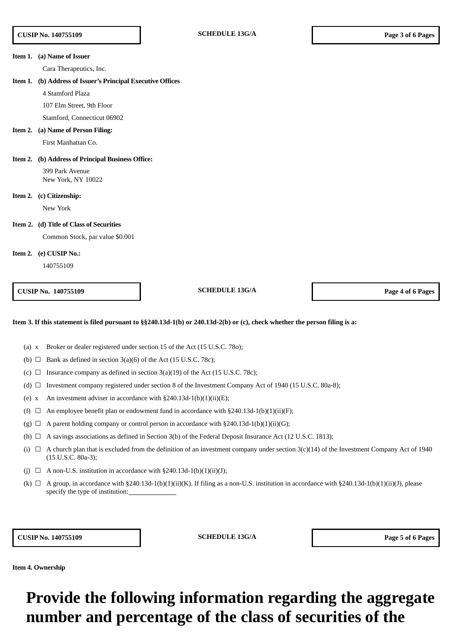#### **Item 1. (a) Name of Issuer**

Cara Therapeutics, Inc.

#### **Item 1. (b) Address of Issuer's Principal Executive Offices**

4 Stamford Plaza

107 Elm Street, 9th Floor

Stamford, Connecticut 06902

#### **Item 2. (a) Name of Person Filing:**

First Manhattan Co.

#### **Item 2. (b) Address of Principal Business Office:**

399 Park Avenue New York, NY 10022

#### **Item 2. (c) Citizenship:**

New York

#### **Item 2. (d) Title of Class of Securities**

Common Stock, par value \$0.001

### **Item 2. (e) CUSIP No.:**

140755109

**CUSIP No. 140755109 SCHEDULE 13G/A Page 4 of 6 Pages**

#### Item 3. If this statement is filed pursuant to §§240.13d-1(b) or 240.13d-2(b) or (c), check whether the person filing is a:

- (a) x Broker or dealer registered under section 15 of the Act (15 U.S.C. 78o);
- (b)  $\Box$  Bank as defined in section 3(a)(6) of the Act (15 U.S.C. 78c);
- (c)  $\Box$  Insurance company as defined in section 3(a)(19) of the Act (15 U.S.C. 78c);
- (d)  $\Box$  Investment company registered under section 8 of the Investment Company Act of 1940 (15 U.S.C. 80a-8);
- (e) x An investment adviser in accordance with  $\S 240.13d-1(b)(1)(ii)(E);$
- (f)  $\Box$  An employee benefit plan or endowment fund in accordance with §240.13d-1(b)(1)(ii)(F);
- (g)  $\Box$  A parent holding company or control person in accordance with §240.13d-1(b)(1)(ii)(G);
- (h)  $\Box$  A savings associations as defined in Section 3(b) of the Federal Deposit Insurance Act (12 U.S.C. 1813);
- (i)  $\Box$  A church plan that is excluded from the definition of an investment company under section 3(c)(14) of the Investment Company Act of 1940 (15 U.S.C. 80a-3);
- (j)  $\Box$  A non-U.S. institution in accordance with §240.13d-1(b)(1)(ii)(J);
- (k)  $\Box$  A group, in accordance with §240.13d-1(b)(1)(ii)(K). If filing as a non-U.S. institution in accordance with §240.13d-1(b)(1)(ii)(J), please specify the type of institution:

**CUSIP No. 140755109 SCHEDULE 13G/A Page 5 of 6 Pages**

**Item 4. Ownership**

# **Provide the following information regarding the aggregate number and percentage of the class of securities of the**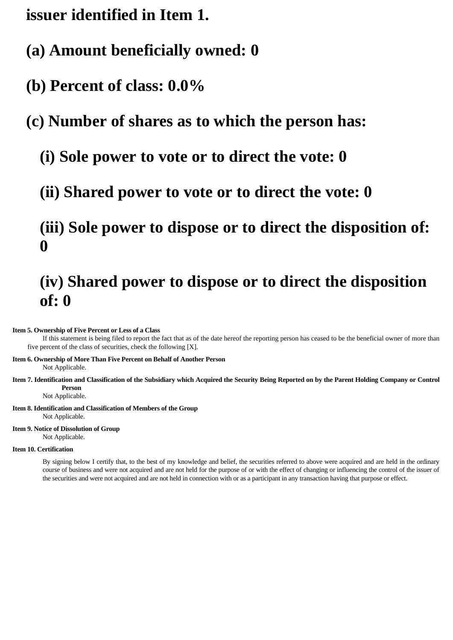**issuer identified in Item 1.**

- **(a) Amount beneficially owned: 0**
- **(b) Percent of class: 0.0%**

## **(c) Number of shares as to which the person has:**

- **(i) Sole power to vote or to direct the vote: 0**
- **(ii) Shared power to vote or to direct the vote: 0**

## **(iii) Sole power to dispose or to direct the disposition of: 0**

# **(iv) Shared power to dispose or to direct the disposition of: 0**

## **Item 5. Ownership of Five Percent or Less of a Class**

If this statement is being filed to report the fact that as of the date hereof the reporting person has ceased to be the beneficial owner of more than five percent of the class of securities, check the following [X].

**Item 6. Ownership of More Than Five Percent on Behalf of Another Person**

Not Applicable.

Item 7. Identification and Classification of the Subsidiary which Acquired the Security Being Reported on by the Parent Holding Company or Control **Person**

Not Applicable.

**Item 8. Identification and Classification of Members of the Group** Not Applicable.

## **Item 9. Notice of Dissolution of Group**

Not Applicable.

### **Item 10. Certification**

By signing below I certify that, to the best of my knowledge and belief, the securities referred to above were acquired and are held in the ordinary course of business and were not acquired and are not held for the purpose of or with the effect of changing or influencing the control of the issuer of the securities and were not acquired and are not held in connection with or as a participant in any transaction having that purpose or effect.